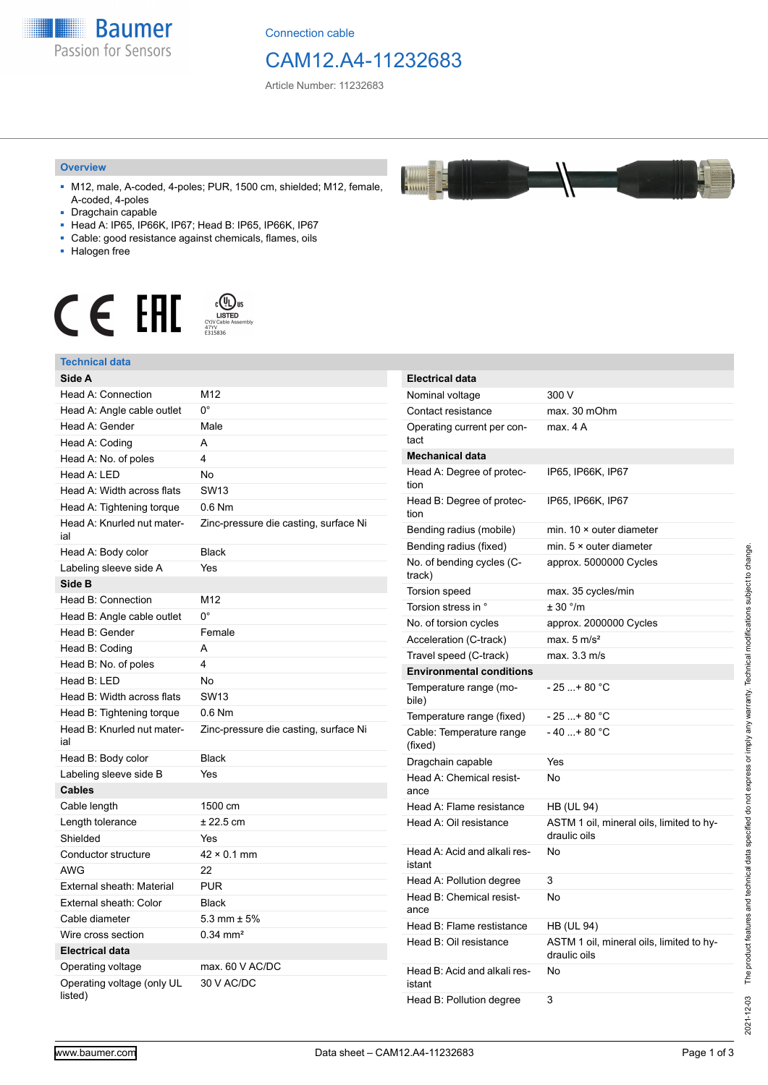

Connection cable

## CAM12.A4-11232683

Article Number: 11232683

#### **Overview**

- M12, male, A-coded, 4-poles; PUR, 1500 cm, shielded; M12, female, A-coded, 4-poles
- Dragchain capable
- Head A: IP65, IP66K, IP67; Head B: IP65, IP66K, IP67
- Cable: good resistance against chemicals, flames, oils
- Halogen free



#### **Technical data**

| Technical data                        |                                       |
|---------------------------------------|---------------------------------------|
| Side A                                |                                       |
| Head A: Connection                    | M12                                   |
| Head A: Angle cable outlet            | $0^{\circ}$                           |
| Head A: Gender                        | Male                                  |
| Head A: Coding                        | A                                     |
| Head A: No. of poles                  | 4                                     |
| Head A: LED                           | No                                    |
| Head A: Width across flats            | <b>SW13</b>                           |
| Head A: Tightening torque             | $0.6$ Nm                              |
| Head A: Knurled nut mater-<br>ial     | Zinc-pressure die casting, surface Ni |
| Head A: Body color                    | <b>Black</b>                          |
| Labeling sleeve side A                | Yes                                   |
| Side B                                |                                       |
| Head B: Connection                    | M12                                   |
| Head B: Angle cable outlet            | $0^{\circ}$                           |
| Head B: Gender                        | Female                                |
| Head B: Coding                        | A                                     |
| Head B: No. of poles                  | 4                                     |
| Head B: LED                           | No                                    |
| Head B: Width across flats            | <b>SW13</b>                           |
| Head B: Tightening torque             | $0.6$ Nm                              |
| Head B: Knurled nut mater-<br>ial     | Zinc-pressure die casting, surface Ni |
| Head B: Body color                    | <b>Black</b>                          |
| Labeling sleeve side B                | Yes                                   |
| Cables                                |                                       |
| Cable length                          | 1500 cm                               |
| Length tolerance                      | $± 22.5$ cm                           |
| Shielded                              | Yes                                   |
| Conductor structure                   | $42 \times 0.1$ mm                    |
| AWG                                   | 22                                    |
| External sheath: Material             | <b>PUR</b>                            |
| External sheath: Color                | <b>Black</b>                          |
| Cable diameter                        | 5.3 mm $\pm$ 5%                       |
| Wire cross section                    | $0.34$ mm <sup>2</sup>                |
| <b>Electrical data</b>                |                                       |
| Operating voltage                     | max. 60 V AC/DC                       |
| Operating voltage (only UL<br>listed) | 30 V AC/DC                            |

| Electrical data                        |                                                          |  |
|----------------------------------------|----------------------------------------------------------|--|
| Nominal voltage                        | 300 V                                                    |  |
| Contact resistance                     | max. 30 mOhm                                             |  |
| Operating current per con-<br>tact     | max. 4 A                                                 |  |
| <b>Mechanical data</b>                 |                                                          |  |
| Head A: Degree of protec-<br>tion      | IP65, IP66K, IP67                                        |  |
| Head B: Degree of protec-<br>tion      | IP65, IP66K, IP67                                        |  |
| Bending radius (mobile)                | min. $10 \times$ outer diameter                          |  |
| Bending radius (fixed)                 | min. $5 \times$ outer diameter                           |  |
| No. of bending cycles (C-<br>track)    | approx. 5000000 Cycles                                   |  |
| Torsion speed                          | max. 35 cycles/min                                       |  |
| Torsion stress in °                    | ± 30 °/m                                                 |  |
| No. of torsion cycles                  | approx. 2000000 Cycles                                   |  |
| Acceleration (C-track)                 | max. $5 \text{ m/s}^2$                                   |  |
| Travel speed (C-track)                 | max. 3.3 m/s                                             |  |
| <b>Environmental conditions</b>        |                                                          |  |
| Temperature range (mo-<br>bile)        | - 25 + 80 °C                                             |  |
| Temperature range (fixed)              | - 25  + 80 °C                                            |  |
| Cable: Temperature range<br>(fixed)    | - 40 + 80 °C                                             |  |
| Dragchain capable                      | Yes                                                      |  |
| Head A: Chemical resist-<br>ance       | No                                                       |  |
| Head A: Flame resistance               | <b>HB (UL 94)</b>                                        |  |
| Head A: Oil resistance                 | ASTM 1 oil, mineral oils, limited to hy-<br>draulic oils |  |
| Head A: Acid and alkali res-<br>istant | No                                                       |  |
| Head A: Pollution degree               | 3                                                        |  |
| Head B: Chemical resist-<br>ance       | No                                                       |  |
| Head B: Flame restistance              | <b>HB (UL 94)</b>                                        |  |
| Head B: Oil resistance                 | ASTM 1 oil, mineral oils, limited to hy-<br>draulic oils |  |
| Head B: Acid and alkali res-<br>istant | No                                                       |  |
| Head B: Pollution degree               | 3                                                        |  |

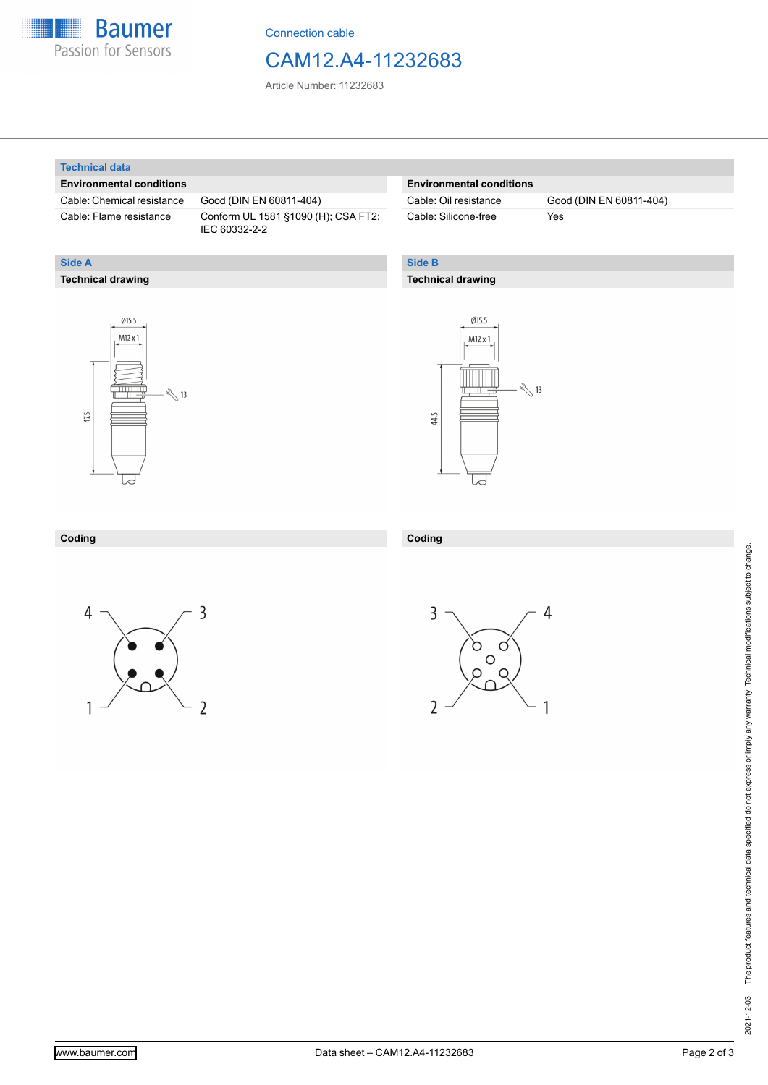

Connection cable

### CAM12.A4-11232683

Article Number: 11232683

#### **Technical data**

**Technical drawing**

**Side A**

#### **Environmental conditions**

Cable: Chemical resistance Good (DIN EN 60811-404)

Cable: Flame resistance Conform UL 1581 §1090 (H); CSA FT2; IEC 60332-2-2

#### **Environmental conditions**

Cable: Silicone-free Yes

Cable: Oil resistance Good (DIN EN 60811-404)

### **Side B**

#### **Technical drawing**





| Coding | Coding |
|--------|--------|
|        |        |